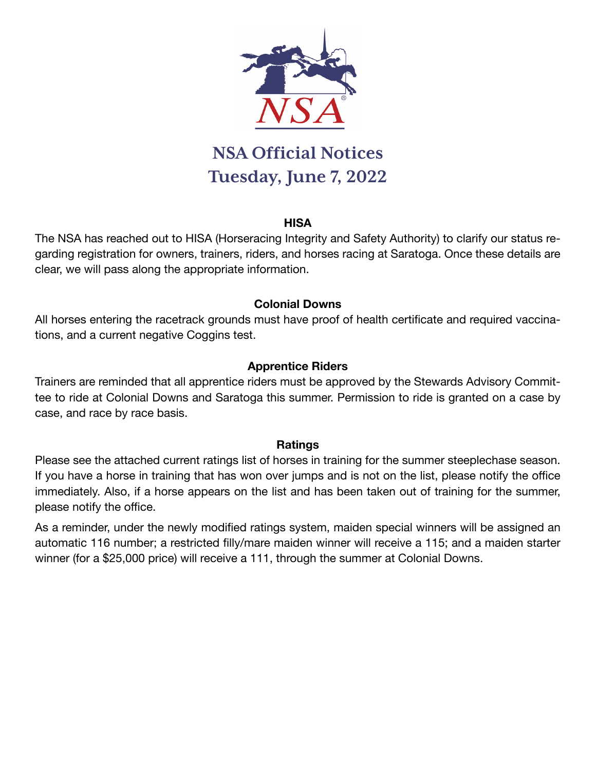

# **NSA Official Notices Tuesday, June 7, 2022**

#### **HISA**

The NSA has reached out to HISA (Horseracing Integrity and Safety Authority) to clarify our status regarding registration for owners, trainers, riders, and horses racing at Saratoga. Once these details are clear, we will pass along the appropriate information.

## **Colonial Downs**

All horses entering the racetrack grounds must have proof of health certificate and required vaccinations, and a current negative Coggins test.

## **Apprentice Riders**

Trainers are reminded that all apprentice riders must be approved by the Stewards Advisory Committee to ride at Colonial Downs and Saratoga this summer. Permission to ride is granted on a case by case, and race by race basis.

#### **Ratings**

Please see the attached current ratings list of horses in training for the summer steeplechase season. If you have a horse in training that has won over jumps and is not on the list, please notify the office immediately. Also, if a horse appears on the list and has been taken out of training for the summer, please notify the office.

As a reminder, under the newly modified ratings system, maiden special winners will be assigned an automatic 116 number; a restricted filly/mare maiden winner will receive a 115; and a maiden starter winner (for a \$25,000 price) will receive a 111, through the summer at Colonial Downs.